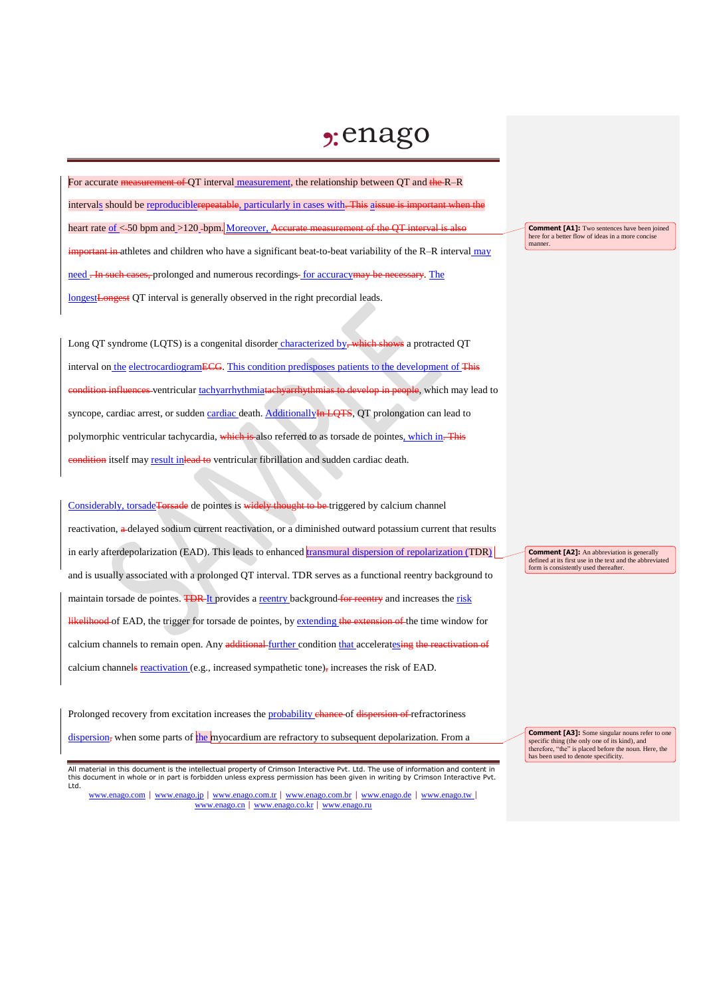## $2:$ enago

For accurate measurement of QT interval measurement, the relationship between QT and the R–R intervals should be reproduciblerepeatable, particularly in cases with. This aissue is important when the heart rate of <-50 bpm and >120 -bpm. Moreover, Accurate measurement of the QT interval is also important in athletes and children who have a significant beat-to-beat variability of the R–R interval may need . In such cases, prolonged and numerous recordings-for accuracy may be necessary. The longestLongest QT interval is generally observed in the right precordial leads.

Long QT syndrome (LQTS) is a congenital disorder characterized by, which shows a protracted QT interval on the electrocardiogramECG. This condition predisposes patients to the development of This condition influences ventricular tachyarrhythmiatachyarrhythmias to develop in people, which may lead to syncope, cardiac arrest, or sudden cardiac death. AdditionallyIn LQTS, QT prolongation can lead to polymorphic ventricular tachycardia, which is also referred to as torsade de pointes, which in. This eondition itself may result inlead to ventricular fibrillation and sudden cardiac death.

Considerably, torsade Torsade de pointes is widely thought to be triggered by calcium channel reactivation, a delayed sodium current reactivation, or a diminished outward potassium current that results in early afterdepolarization (EAD). This leads to enhanced transmural dispersion of repolarization (TDR) and is usually associated with a prolonged QT interval. TDR serves as a functional reentry background to maintain torsade de pointes. TDR-It provides a reentry background for reentry and increases the risk likelihood of EAD, the trigger for torsade de pointes, by extending the extension of the time window for calcium channels to remain open. Any additional further condition that acceleratesing the reactivation of calcium channels reactivation (e.g., increased sympathetic tone), increases the risk of EAD.

Prolonged recovery from excitation increases the probability chance of dispersion of refractoriness dispersion, when some parts of the myocardium are refractory to subsequent depolarization. From a

**Comment [A1]:** Two sentences have been joined here for a better flow of ideas in a more concise manner.

**Comment [A2]:** An abbreviation is generally defined at its first use in the text and the abbreviated form is consistently used thereafter.

**Comment [A3]:** Some singular nouns refer to one specific thing (the only one of its kind), and therefore, "the" is placed before the noun. Here, the has been used to denote specificity.

All material in this document is the intellectual property of Crimson Interactive Pvt. Ltd. The use of information and content in this document in whole or in part is forbidden unless express permission has been given in writing by Crimson Interactive Pvt. Ltd.

www.enago.com | www.enago.jp | www.enago.com.tr | www.enago.com.br | www.enago.de | www.enago.tw | www.enago.cn | www.enago.co.kr | www.enago.ru